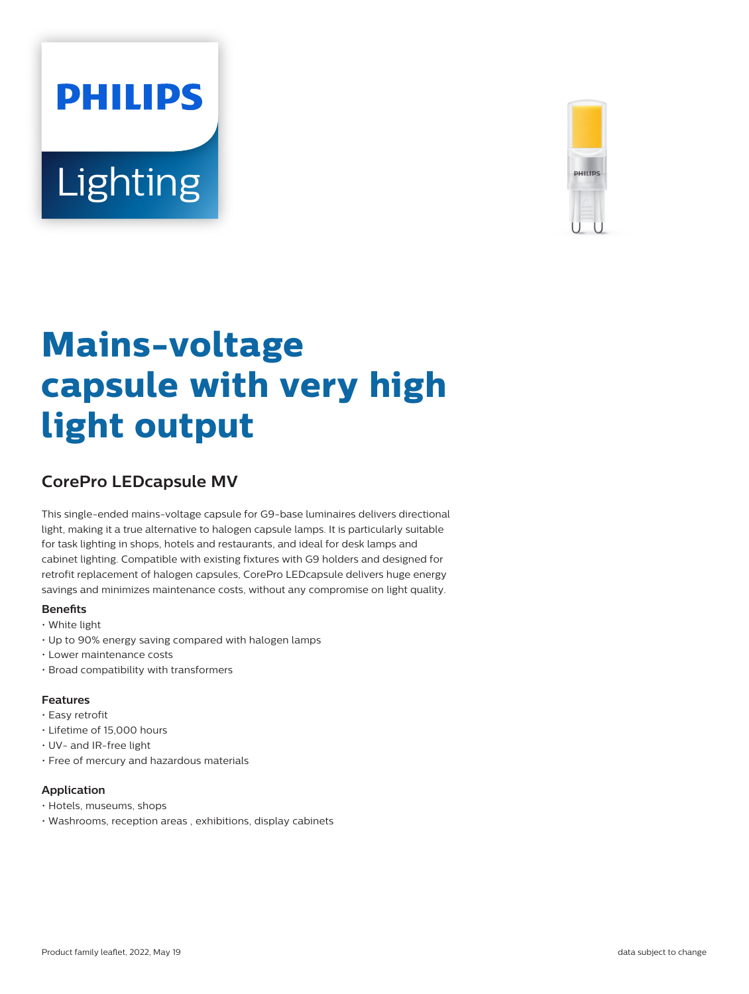# **PHILIPS Lighting**



# **Mains-voltage capsule with very high light output**

## **CorePro LEDcapsule MV**

This single-ended mains-voltage capsule for G9-base luminaires delivers directional light, making it a true alternative to halogen capsule lamps. It is particularly suitable for task lighting in shops, hotels and restaurants, and ideal for desk lamps and cabinet lighting. Compatible with existing fixtures with G9 holders and designed for retrofit replacement of halogen capsules, CorePro LEDcapsule delivers huge energy savings and minimizes maintenance costs, without any compromise on light quality.

#### **Benets**

- White light
- Up to 90% energy saving compared with halogen lamps
- Lower maintenance costs
- Broad compatibility with transformers

#### **Features**

- Easy retrofit
- Lifetime of 15,000 hours
- UV- and IR-free light
- Free of mercury and hazardous materials

#### **Application**

- Hotels, museums, shops
- Washrooms, reception areas , exhibitions, display cabinets